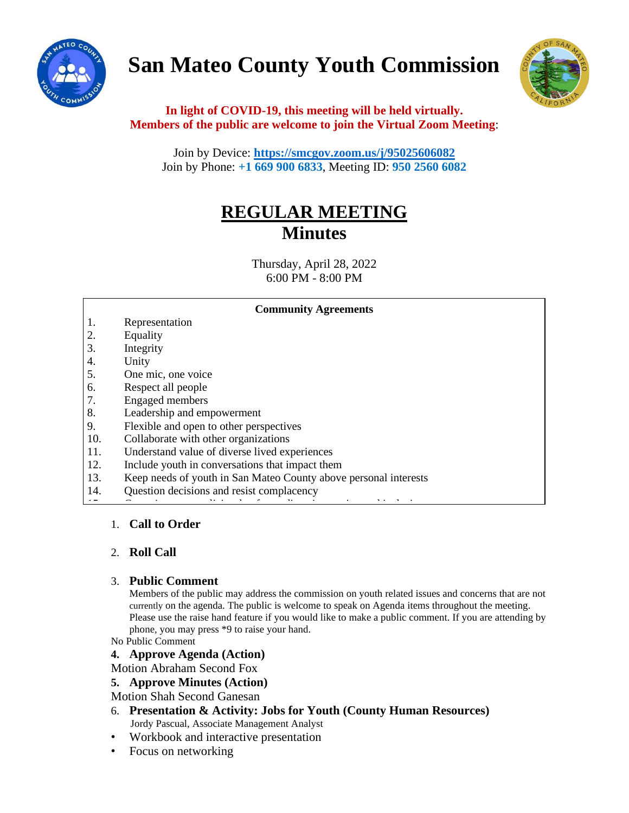

# **San Mateo County Youth Commission**



# **In light of COVID-19, this meeting will be held virtually. Members of the public are welcome to join the Virtual Zoom Meeting**:

Join by Device: **<https://smcgov.zoom.us/j/95025606082>** Join by Phone: **+1 669 900 6833**, Meeting ID: **950 2560 6082**

# **REGULAR MEETING Minutes**

Thursday, April 28, 2022 6:00 PM - 8:00 PM

#### **Community Agreements**

- 1. Representation
- 2. Equality
- 3. Integrity
- 4. Unity
- 5. One mic, one voice
- 6. Respect all people
- 7. Engaged members
- 8. Leadership and empowerment
- 9. Flexible and open to other perspectives
- 10. Collaborate with other organizations
- 11. Understand value of diverse lived experiences
- 12. Include youth in conversations that impact them
- 13. Keep needs of youth in San Mateo County above personal interests

 $\frac{1}{15}$ . Commitment to policies that foster diversity, and inclusion  $\frac{1}{15}$ 

14. Question decisions and resist complacency

# 1. **Call to Order**

# 2. **Roll Call**

# 3. **Public Comment**

Members of the public may address the commission on youth related issues and concerns that are not currently on the agenda. The public is welcome to speak on Agenda items throughout the meeting. Please use the raise hand feature if you would like to make a public comment. If you are attending by phone, you may press \*9 to raise your hand.

No Public Comment

#### **4. Approve Agenda (Action)**

Motion Abraham Second Fox

**5. Approve Minutes (Action)**

Motion Shah Second Ganesan

- 6. **Presentation & Activity: Jobs for Youth (County Human Resources)** Jordy Pascual, Associate Management Analyst
- Workbook and interactive presentation
- Focus on networking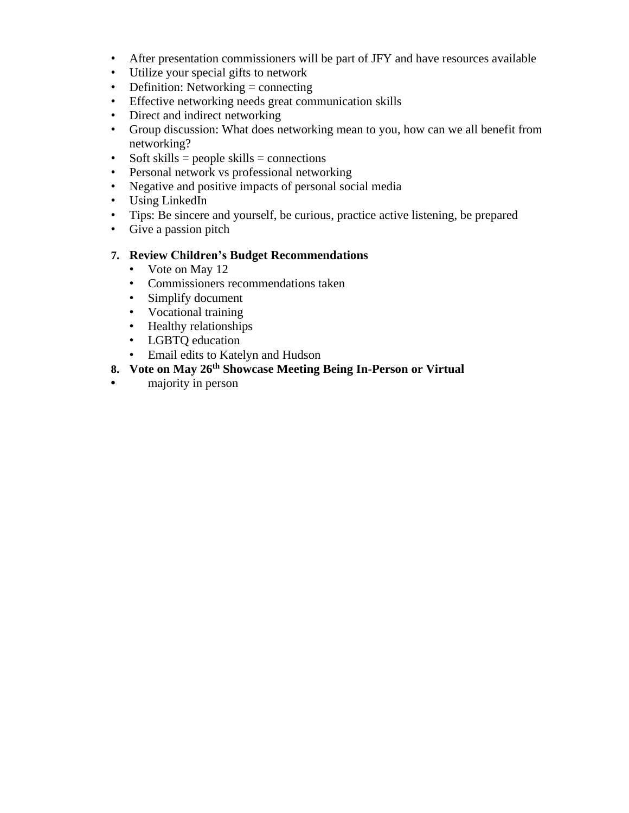- After presentation commissioners will be part of JFY and have resources available
- Utilize your special gifts to network
- Definition: Networking = connecting
- Effective networking needs great communication skills
- Direct and indirect networking
- Group discussion: What does networking mean to you, how can we all benefit from networking?
- Soft skills = people skills = connections
- Personal network vs professional networking
- Negative and positive impacts of personal social media
- Using LinkedIn
- Tips: Be sincere and yourself, be curious, practice active listening, be prepared
- Give a passion pitch

# **7. Review Children's Budget Recommendations**

- Vote on May 12
- Commissioners recommendations taken
- Simplify document
- Vocational training
- Healthy relationships
- LGBTQ education
- Email edits to Katelyn and Hudson
- **8. Vote on May 26th Showcase Meeting Being In-Person or Virtual**
- **•** majority in person